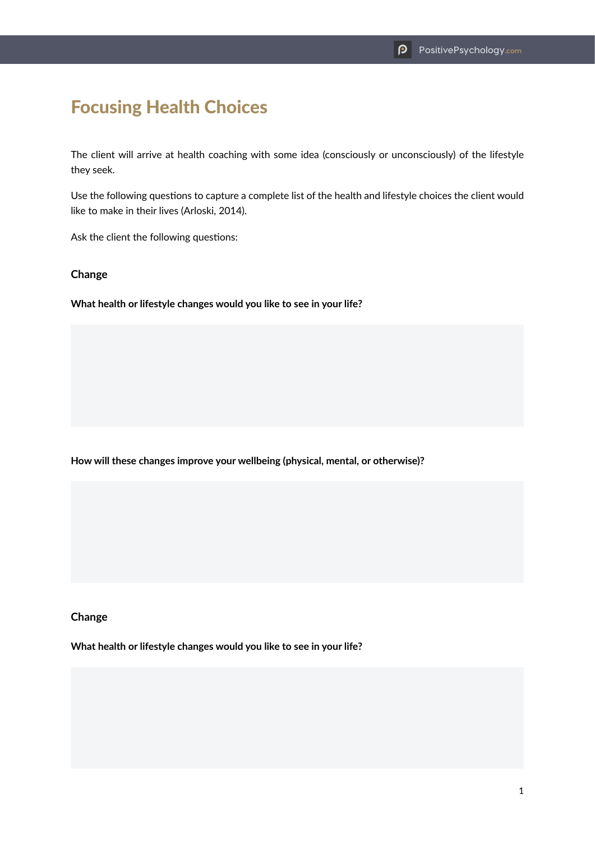# Focusing Health Choices

The client will arrive at health coaching with some idea (consciously or unconsciously) of the lifestyle they seek.

Use the following questions to capture a complete list of the health and lifestyle choices the client would like to make in their lives (Arloski, 2014).

Ask the client the following questions:

#### **Change**

**What health or lifestyle changes would you like to see in your life?**

**How will these changes improve your wellbeing (physical, mental, or otherwise)?**

#### **Change**

**What health or lifestyle changes would you like to see in your life?**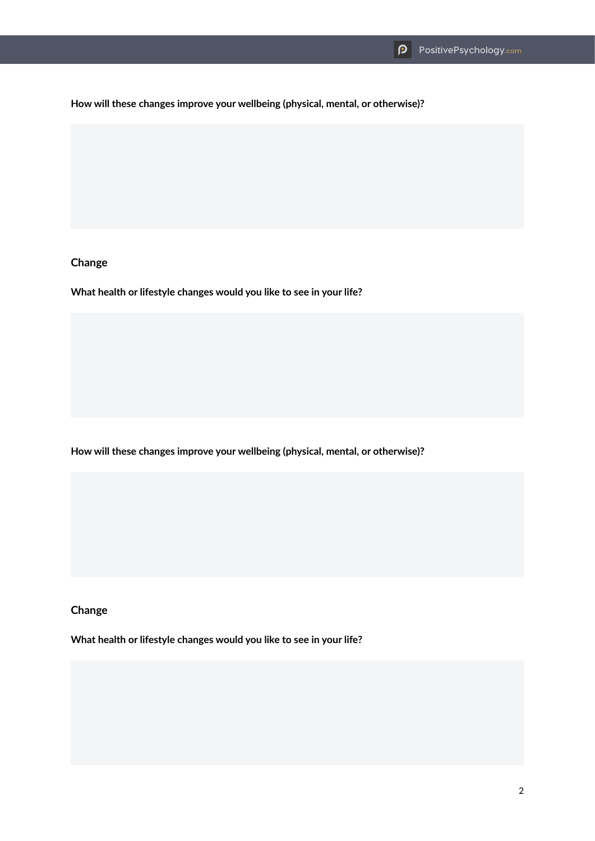**How will these changes improve your wellbeing (physical, mental, or otherwise)?**

# **Change**

**What health or lifestyle changes would you like to see in your life?**

**How will these changes improve your wellbeing (physical, mental, or otherwise)?**

**Change**

**What health or lifestyle changes would you like to see in your life?**